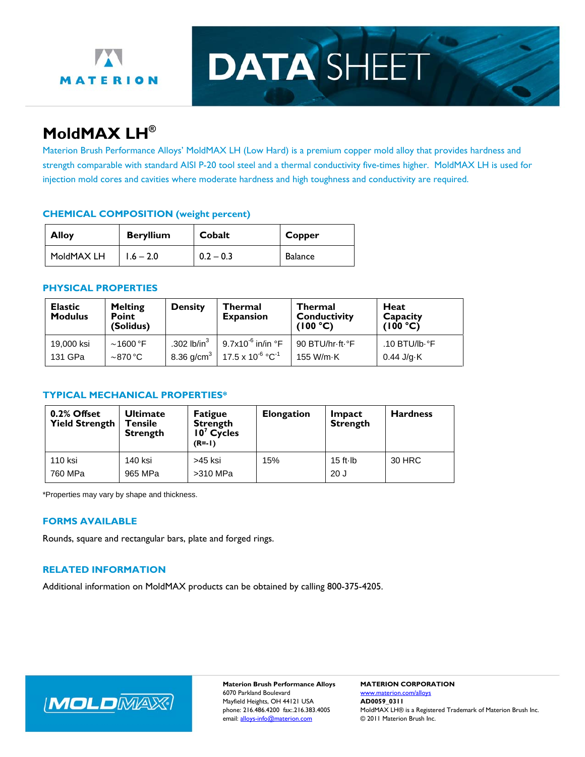

# **DATA SHEET**

## **MoldMAX LH®**

Materion Brush Performance Alloys' MoldMAX LH (Low Hard) is a premium copper mold alloy that provides hardness and strength comparable with standard AISI P-20 tool steel and a thermal conductivity five-times higher. MoldMAX LH is used for injection mold cores and cavities where moderate hardness and high toughness and conductivity are required.

### **CHEMICAL COMPOSITION (weight percent)**

| <b>Beryllium</b><br><b>Alloy</b> |             | Cobalt      | Copper  |  |
|----------------------------------|-------------|-------------|---------|--|
| MoldMAX LH                       | $1.6 - 2.0$ | $0.2 - 0.3$ | Balance |  |

#### **PHYSICAL PROPERTIES**

| <b>Elastic</b><br><b>Modulus</b> | <b>Melting</b><br><b>Point</b><br>(Solidus) | <b>Density</b>            | Thermal<br><b>Expansion</b>       | <b>Thermal</b><br><b>Conductivity</b><br>(100 °C) | Heat<br>Capacity<br>(100 °C) |
|----------------------------------|---------------------------------------------|---------------------------|-----------------------------------|---------------------------------------------------|------------------------------|
| 19,000 ksi                       | $\sim$ 1600 °F                              | .302 lb/in $3$            | $9.7$ x10 $^6$ in/in $^{\circ}$ F | 90 BTU/hr-ft-°F                                   | .10 BTU/lb $\cdot$ °F        |
| 131 GPa                          | $\sim$ 870 °C                               | $8.36 \text{ g/cm}^3$   . | 17.5 x 10 $^6$ $^{\circ}$ C $^1$  | 155 W/m-K                                         | $0.44$ J/g $\cdot$ K         |

#### **TYPICAL MECHANICAL PROPERTIES\***

| 0.2% Offset<br><b>Yield Strength</b> | <b>Ultimate</b><br>Tensile<br><b>Strength</b> | <b>Fatigue</b><br><b>Strength</b><br>$107$ Cycles<br>$(R = -1)$ | <b>Elongation</b> | Impact<br><b>Strength</b> | <b>Hardness</b> |
|--------------------------------------|-----------------------------------------------|-----------------------------------------------------------------|-------------------|---------------------------|-----------------|
| 110 ksi<br>760 MPa                   | 140 ksi<br>965 MPa                            | >45 ksi<br>>310 MPa                                             | 15%               | $15$ ft $\cdot$ lb<br>20J | 30 HRC          |

\*Properties may vary by shape and thickness.

#### **FORMS AVAILABLE**

Rounds, square and rectangular bars, plate and forged rings.

#### **RELATED INFORMATION**

Additional information on MoldMAX products can be obtained by calling 800-375-4205.



**Materion Brush Performance Alloys MATERION CORPORATION**  6070 Parkland Boulevard www.materion.com/alloys Mayfield Heights, OH 44121 USA **AD0059\_0311**<br>phone: 216.486.4200 fax:.216.383.4005 MoldMAX LH®

MoldMAX LH® is a Registered Trademark of Materion Brush Inc. email: alloys-info@materion.com © 2011 Materion Brush Inc.